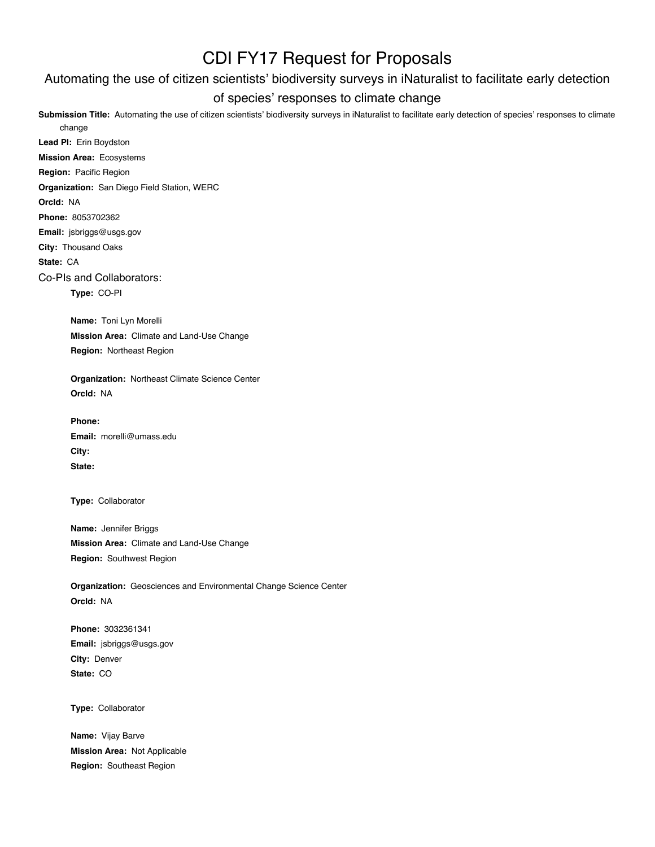# CDI FY17 Request for Proposals

## Automating the use of citizen scientists' biodiversity surveys in iNaturalist to facilitate early detection

### of species' responses to climate change

Submission Title: Automating the use of citizen scientists' biodiversity surveys in iNaturalist to facilitate early detection of species' responses to climate change

**Lead PI:** Erin Boydston **Mission Area:** Ecosystems **Region:** Pacific Region **Organization:** San Diego Field Station, WERC **OrcId:** NA **Phone:** 8053702362 **Email:** jsbriggs@usgs.gov **City:** Thousand Oaks **State:** CA Co-PIs and Collaborators: **Type:** CO-PI **Name:** Toni Lyn Morelli **Mission Area:** Climate and Land-Use Change **Region:** Northeast Region **Organization:** Northeast Climate Science Center **OrcId:** NA **Phone: Email:** morelli@umass.edu **City: State: Type:** Collaborator **Name:** Jennifer Briggs **Mission Area:** Climate and Land-Use Change **Region:** Southwest Region **Organization:** Geosciences and Environmental Change Science Center **OrcId:** NA

> **Phone:** 3032361341 **Email:** jsbriggs@usgs.gov **City:** Denver **State:** CO

**Type:** Collaborator

**Name:** Vijay Barve **Mission Area:** Not Applicable **Region:** Southeast Region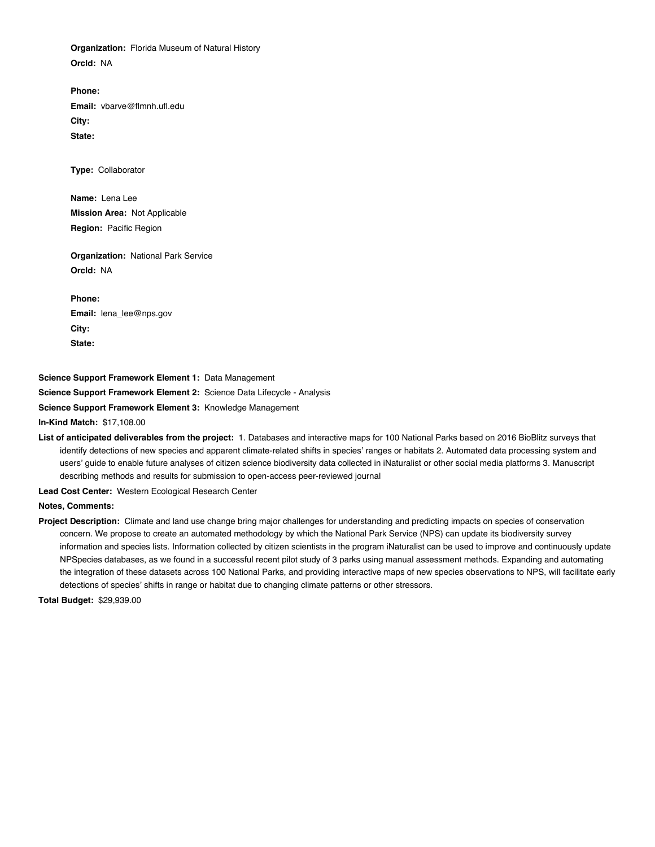**Organization:** Florida Museum of Natural History **OrcId:** NA

**Phone: Email:** vbarve@flmnh.ufl.edu **City: State:**

**Type:** Collaborator

**Name:** Lena Lee **Mission Area:** Not Applicable **Region:** Pacific Region

**Organization:** National Park Service **OrcId:** NA

**Phone: Email:** lena\_lee@nps.gov **City: State:**

**Science Support Framework Element 1:** Data Management

**Science Support Framework Element 2:** Science Data Lifecycle - Analysis

**Science Support Framework Element 3:** Knowledge Management

**In-Kind Match:** \$17,108.00

#### **List of anticipated deliverables from the project:** 1. Databases and interactive maps for 100 National Parks based on 2016 BioBlitz surveys that identify detections of new species and apparent climate-related shifts in species' ranges or habitats 2. Automated data processing system and users' guide to enable future analyses of citizen science biodiversity data collected in iNaturalist or other social media platforms 3. Manuscript describing methods and results for submission to open-access peer-reviewed journal

**Lead Cost Center:** Western Ecological Research Center

**Notes, Comments:**

**Project Description:** Climate and land use change bring major challenges for understanding and predicting impacts on species of conservation concern. We propose to create an automated methodology by which the National Park Service (NPS) can update its biodiversity survey information and species lists. Information collected by citizen scientists in the program iNaturalist can be used to improve and continuously update NPSpecies databases, as we found in a successful recent pilot study of 3 parks using manual assessment methods. Expanding and automating the integration of these datasets across 100 National Parks, and providing interactive maps of new species observations to NPS, will facilitate early detections of species' shifts in range or habitat due to changing climate patterns or other stressors.

**Total Budget:** \$29,939.00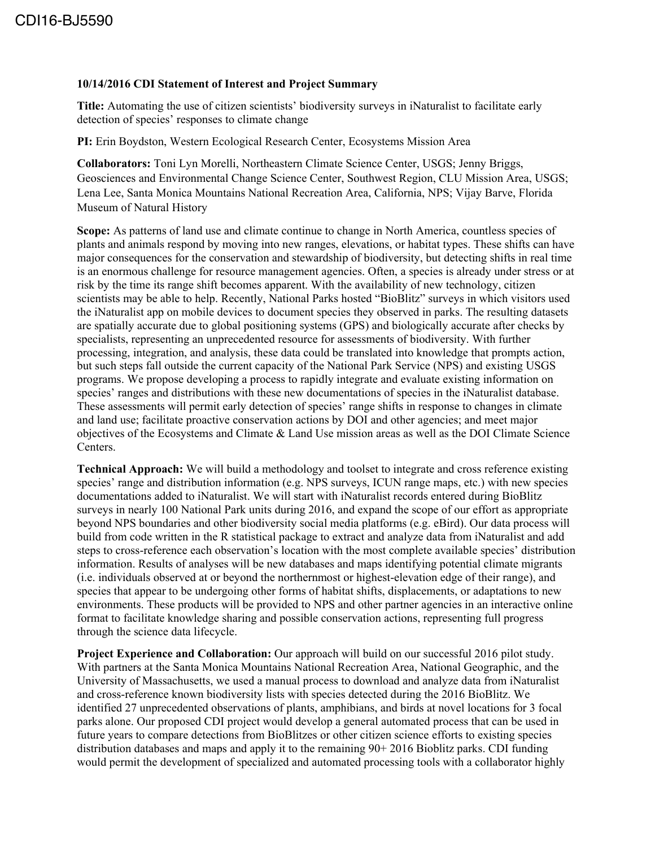#### **10/14/2016 CDI Statement of Interest and Project Summary**

**Title:** Automating the use of citizen scientists' biodiversity surveys in iNaturalist to facilitate early detection of species' responses to climate change

**PI:** Erin Boydston, Western Ecological Research Center, Ecosystems Mission Area

**Collaborators:** Toni Lyn Morelli, Northeastern Climate Science Center, USGS; Jenny Briggs, Geosciences and Environmental Change Science Center, Southwest Region, CLU Mission Area, USGS; Lena Lee, Santa Monica Mountains National Recreation Area, California, NPS; Vijay Barve, Florida Museum of Natural History

**Scope:** As patterns of land use and climate continue to change in North America, countless species of plants and animals respond by moving into new ranges, elevations, or habitat types. These shifts can have major consequences for the conservation and stewardship of biodiversity, but detecting shifts in real time is an enormous challenge for resource management agencies. Often, a species is already under stress or at risk by the time its range shift becomes apparent. With the availability of new technology, citizen scientists may be able to help. Recently, National Parks hosted "BioBlitz" surveys in which visitors used the iNaturalist app on mobile devices to document species they observed in parks. The resulting datasets are spatially accurate due to global positioning systems (GPS) and biologically accurate after checks by specialists, representing an unprecedented resource for assessments of biodiversity. With further processing, integration, and analysis, these data could be translated into knowledge that prompts action, but such steps fall outside the current capacity of the National Park Service (NPS) and existing USGS programs. We propose developing a process to rapidly integrate and evaluate existing information on species' ranges and distributions with these new documentations of species in the iNaturalist database. These assessments will permit early detection of species' range shifts in response to changes in climate and land use; facilitate proactive conservation actions by DOI and other agencies; and meet major objectives of the Ecosystems and Climate & Land Use mission areas as well as the DOI Climate Science Centers.

**Technical Approach:** We will build a methodology and toolset to integrate and cross reference existing species' range and distribution information (e.g. NPS surveys, ICUN range maps, etc.) with new species documentations added to iNaturalist. We will start with iNaturalist records entered during BioBlitz surveys in nearly 100 National Park units during 2016, and expand the scope of our effort as appropriate beyond NPS boundaries and other biodiversity social media platforms (e.g. eBird). Our data process will build from code written in the R statistical package to extract and analyze data from iNaturalist and add steps to cross-reference each observation's location with the most complete available species' distribution information. Results of analyses will be new databases and maps identifying potential climate migrants (i.e. individuals observed at or beyond the northernmost or highest-elevation edge of their range), and species that appear to be undergoing other forms of habitat shifts, displacements, or adaptations to new environments. These products will be provided to NPS and other partner agencies in an interactive online format to facilitate knowledge sharing and possible conservation actions, representing full progress through the science data lifecycle.

**Project Experience and Collaboration:** Our approach will build on our successful 2016 pilot study. With partners at the Santa Monica Mountains National Recreation Area, National Geographic, and the University of Massachusetts, we used a manual process to download and analyze data from iNaturalist and cross-reference known biodiversity lists with species detected during the 2016 BioBlitz. We identified 27 unprecedented observations of plants, amphibians, and birds at novel locations for 3 focal parks alone. Our proposed CDI project would develop a general automated process that can be used in future years to compare detections from BioBlitzes or other citizen science efforts to existing species distribution databases and maps and apply it to the remaining 90+ 2016 Bioblitz parks. CDI funding would permit the development of specialized and automated processing tools with a collaborator highly